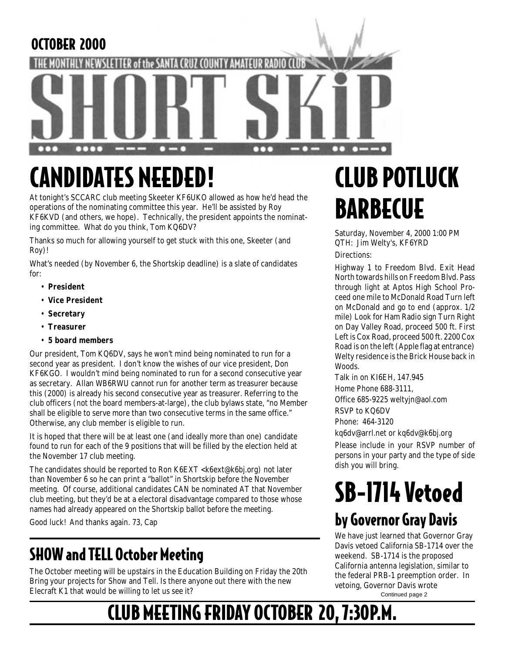#### OCTOBER 2000



# CANDIDATES NEEDED!

At tonight's SCCARC club meeting Skeeter KF6UKO allowed as how he'd head the operations of the nominating committee this year. He'll be assisted by Roy KF6KVD (and others, we hope). Technically, the president appoints the nominating committee. What do you think, Tom KQ6DV?

Thanks so much for allowing yourself to get stuck with this one, Skeeter (and Roy)!

What's needed (by November 6, the Shortskip deadline) is a slate of candidates for:

- **President**
- **Vice President**
- **Secretary**
- **Treasurer**
- **5 board members**

Our president, Tom KQ6DV, says he won't mind being nominated to run for a second year as president. I don't know the wishes of our vice president, Don KF6KGO. I wouldn't mind being nominated to run for a second consecutive year as secretary. Allan WB6RWU cannot run for another term as treasurer because this (2000) is already his second consecutive year as treasurer. Referring to the club officers (not the board members-at-large), the club bylaws state, "no Member shall be eligible to serve more than two consecutive terms in the same office." Otherwise, any club member is eligible to run.

It is hoped that there will be at least one (and ideally more than one) candidate found to run for each of the 9 positions that will be filled by the election held at the November 17 club meeting.

The candidates should be reported to Ron K6EXT <k6ext@k6bj.org) not later than November 6 so he can print a "ballot" in Shortskip before the November meeting. Of course, additional candidates CAN be nominated AT that November club meeting, but they'd be at a electoral disadvantage compared to those whose names had already appeared on the Shortskip ballot before the meeting.

Good luck! And thanks again. 73, Cap

### SHOW and TELL October Meeting

The October meeting will be upstairs in the Education Building on Friday the 20th Bring your projects for Show and Tell. Is there anyone out there with the new Elecraft K1 that would be willing to let us see it?

# CLUB POTLUCK **BARBECUE**

Saturday, November 4, 2000 1:00 PM QTH: Jim Welty's, KF6YRD Directions:

Highway 1 to Freedom Blvd. Exit Head North towards hills on Freedom Blvd. Pass through light at Aptos High School Proceed one mile to McDonald Road Turn left on McDonald and go to end (approx. 1/2 mile) Look for Ham Radio sign Turn Right on Day Valley Road, proceed 500 ft. First Left is Cox Road, proceed 500 ft. 2200 Cox Road is on the left (Apple flag at entrance) Welty residence is the Brick House back in Woods.

Talk in on KI6EH, 147.945 Home Phone 688-3111, Office 685-9225 weltyjn@aol.com RSVP to KQ6DV

Phone: 464-3120

kq6dv@arrl.net or kq6dv@k6bj.org

Please include in your RSVP number of persons in your party and the type of side dish you will bring.

# SB-1714 Vetoed by Governor Gray Davis

We have just learned that Governor Gray Davis vetoed California SB-1714 over the weekend. SB-1714 is the proposed California antenna legislation, similar to the federal PRB-1 preemption order. In vetoing, Governor Davis wrote Continued page 2

# CLUB MEETING FRIDAY OCTOBER 20, 7:30P.M.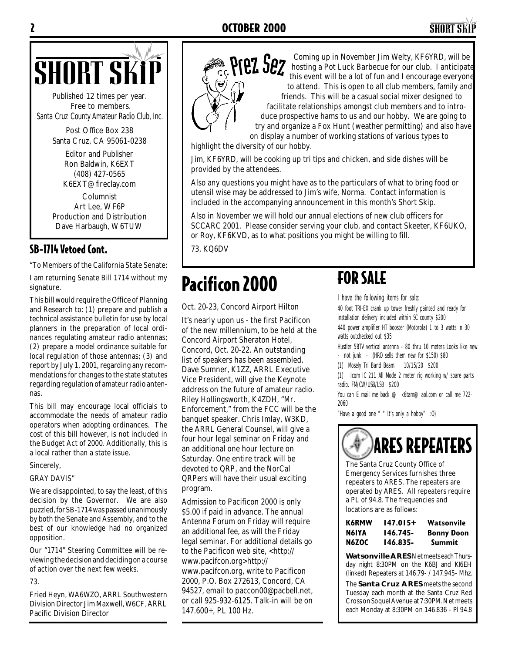

Published 12 times per year. Free to members. *Santa Cruz County Amateur Radio Club, Inc.*

> Post Office Box 238 Santa Cruz, CA 95061-0238

> > Editor and Publisher Ron Baldwin, K6EXT (408) 427-0565 K6EXT@fireclay.com

Columnist Art Lee, WF6P Production and Distribution Dave Harbaugh, W6TUW

#### SB-1714 Vetoed Cont.

"To Members of the California State Senate:

I am returning Senate Bill 1714 without my signature.

This bill would require the Office of Planning and Research to: (1) prepare and publish a technical assistance bulletin for use by local planners in the preparation of local ordinances regulating amateur radio antennas; (2) prepare a model ordinance suitable for local regulation of those antennas; (3) and report by July 1, 2001, regarding any recommendations for changes to the state statutes regarding regulation of amateur radio antennas.

This bill may encourage local officials to accommodate the needs of amateur radio operators when adopting ordinances. The cost of this bill however, is not included in the Budget Act of 2000. Additionally, this is a local rather than a state issue.

#### Sincerely,

#### GRAY DAVIS"

We are disappointed, to say the least, of this decision by the Governor. We are also puzzled, for SB-1714 was passed unanimously by both the Senate and Assembly, and to the best of our knowledge had no organized opposition.

Our "1714" Steering Committee will be reviewing the decision and deciding on a course of action over the next few weeks.

73.

Fried Heyn, WA6WZO, ARRL Southwestern Division Director Jim Maxwell, W6CF, ARRL Pacific Division Director



SHORT SKIP COMING THE RESERVED, Well be a lot of fun and I encourage everyone hosting a Pot Luck Barbecue for our club. I anticipate this event will be a lot of fun and I encourage everyone to attend. This is open to all club members, family and friends. This will be a casual social mixer designed to facilitate relationships amongst club members and to introduce prospective hams to us and our hobby. We are going to try and organize a Fox Hunt (weather permitting) and also have on display a number of working stations of various types to

highlight the diversity of our hobby.

Jim, KF6YRD, will be cooking up tri tips and chicken, and side dishes will be provided by the attendees.

Also any questions you might have as to the particulars of what to bring food or utensil wise may be addressed to Jim's wife, Norma. Contact information is included in the accompanying announcement in this month's Short Skip.

Also in November we will hold our annual elections of new club officers for SCCARC 2001. Please consider serving your club, and contact Skeeter, KF6UKO, or Roy, KF6KVD, as to what positions you might be willing to fill.

73, KQ6DV

## Pacificon 2000

Oct. 20-23, Concord Airport Hilton

It's nearly upon us - the first Pacificon of the new millennium, to be held at the Concord Airport Sheraton Hotel, Concord, Oct. 20-22. An outstanding list of speakers has been assembled. Dave Sumner, K1ZZ, ARRL Executive Vice President, will give the Keynote address on the future of amateur radio. Riley Hollingsworth, K4ZDH, "Mr. Enforcement," from the FCC will be the banquet speaker. Chris Imlay, W3KD, the ARRL General Counsel, will give a four hour legal seminar on Friday and an additional one hour lecture on Saturday. One entire track will be devoted to QRP, and the NorCal QRPers will have their usual exciting program.

Admission to Pacificon 2000 is only \$5.00 if paid in advance. The annual Antenna Forum on Friday will require an additional fee, as will the Friday legal seminar. For additional details go to the Pacificon web site, <http:// www.pacifcon.org>http:// www.pacifcon.org, write to Pacificon 2000, P.O. Box 272613, Concord, CA 94527, email to paccon00@pacbell.net, or call 925-932-6125. Talk-in will be on 147.600+, PL 100 Hz.

#### FOR SALE

I have the following items for sale:

40 foot TRI-EX crank up tower freshly painted and ready for installation delivery included within SC county \$200 440 power amplifier HT booster (Motorola) 1 to 3 watts in 30 watts outchecked out \$35

Hustler 5BTV vertical antenna - 80 thru 10 meters Looks like new - not junk - (HRO sells them new for \$150) \$80

(1) Mosely Tri Band Beam 10/15/20 \$200

(1) Icom IC 211 All Mode 2 meter rig working w/ spare parts radio. FM/CW/USB/LSB \$200

You can E mail me back @ k6tam@aol.com or call me 722- 2060

"Have a good one " " It's only a hobby" :O)



The Santa Cruz County Office of Emergency Services furnishes three repeaters to ARES. The repeaters are operated by ARES. All repeaters require a PL of 94.8. The frequencies and locations are as follows:

| K6RMW | 147.015+ | Watsonvile        |
|-------|----------|-------------------|
| N6IYA | 146.745- | <b>Bonny Doon</b> |
| N6ZOC | 146.835- | Summit            |

**Watsonville ARES** Net meets each Thursday night 8:30PM on the K6BJ and KI6EH (linked) Repeaters at 146.79- / 147.945- Mhz.

The **Santa Cruz ARES** meets the second Tuesday each month at the Santa Cruz Red Cross on Soquel Avenue at 7:30PM. Net meets each Monday at 8:30PM on 146.836 - Pl 94.8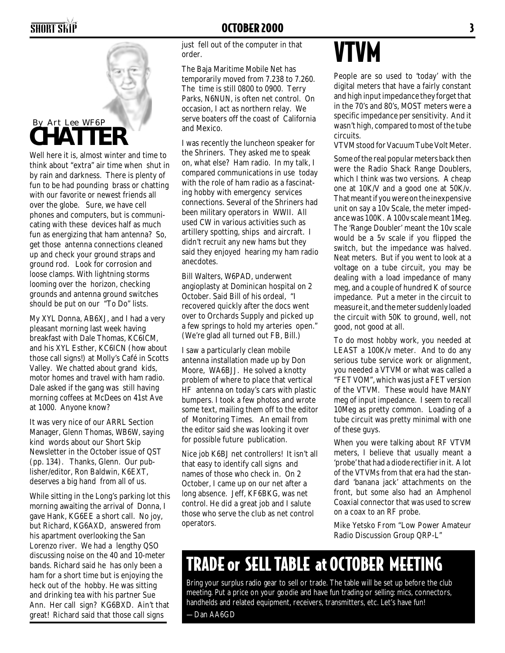

think about "extra" air time when shut in by rain and darkness. There is plenty of fun to be had pounding brass or chatting with our favorite or newest friends all over the globe. Sure, we have cell phones and computers, but is communicating with these devices half as much fun as energizing that ham antenna? So, get those antenna connections cleaned up and check your ground straps and ground rod. Look for corrosion and loose clamps. With lightning storms looming over the horizon, checking grounds and antenna ground switches should be put on our "To Do" lists.

My XYL Donna, AB6XJ, and I had a very pleasant morning last week having breakfast with Dale Thomas, KC6ICM, and his XYL Esther, KC6ICN (how about those call signs!) at Molly's Café in Scotts Valley. We chatted about grand kids, motor homes and travel with ham radio. Dale asked if the gang was still having morning coffees at McDees on 41st Ave at 1000. Anyone know?

It was very nice of our ARRL Section Manager, Glenn Thomas, WB6W, saying kind words about our Short Skip Newsletter in the October issue of QST (pp. 134). Thanks, Glenn. Our publisher/editor, Ron Baldwin, K6EXT, deserves a big hand from all of us.

While sitting in the Long's parking lot this morning awaiting the arrival of Donna, I gave Hank, KG6EE a short call. No joy, but Richard, KG6AXD, answered from his apartment overlooking the San Lorenzo river. We had a lengthy QSO discussing noise on the 40 and 10-meter bands. Richard said he has only been a ham for a short time but is enjoying the heck out of the hobby. He was sitting and drinking tea with his partner Sue Ann. Her call sign? KG6BXD. Ain't that great! Richard said that those call signs

just fell out of the computer in that order.

The Baja Maritime Mobile Net has temporarily moved from 7.238 to 7.260. The time is still 0800 to 0900. Terry Parks, N6NUN, is often net control. On occasion, I act as northern relay. We serve boaters off the coast of California and Mexico.

I was recently the luncheon speaker for the Shriners. They asked me to speak on, what else? Ham radio. In my talk, I compared communications in use today with the role of ham radio as a fascinating hobby with emergency services connections. Several of the Shriners had been military operators in WWII. All used CW in various activities such as artillery spotting, ships and aircraft. I didn't recruit any new hams but they said they enjoyed hearing my ham radio anecdotes.

Bill Walters, W6PAD, underwent angioplasty at Dominican hospital on 2 October. Said Bill of his ordeal, "I recovered quickly after the docs went over to Orchards Supply and picked up a few springs to hold my arteries open." (We're glad all turned out FB, Bill.)

I saw a particularly clean mobile antenna installation made up by Don Moore, WA6BJJ. He solved a knotty problem of where to place that vertical HF antenna on today's cars with plastic bumpers. I took a few photos and wrote some text, mailing them off to the editor of Monitoring Times. An email from the editor said she was looking it over for possible future publication.

Nice job K6BJ net controllers! It isn't all that easy to identify call signs and names of those who check in. On 2 October, I came up on our net after a long absence. Jeff, KF6BKG, was net control. He did a great job and I salute those who serve the club as net control operators.

# VTVM

People are so used to 'today' with the digital meters that have a fairly constant and high input impedance they forget that in the 70's and 80's, MOST meters were a specific impedance per sensitivity. And it wasn't high, compared to most of the tube circuits.

VTVM stood for Vacuum Tube Volt Meter.

Some of the real popular meters back then were the Radio Shack Range Doublers, which I think was two versions. A cheap one at 10K/V and a good one at 50K/v. That meant if you were on the inexpensive unit on say a 10v Scale, the meter impedance was 100K. A 100v scale meant 1Meg. The 'Range Doubler' meant the 10v scale would be a 5v scale if you flipped the switch, but the impedance was halved. Neat meters. But if you went to look at a voltage on a tube circuit, you may be dealing with a load impedance of many meg, and a couple of hundred K of source impedance. Put a meter in the circuit to measure it, and the meter suddenly loaded the circuit with 50K to ground, well, not good, not good at all.

To do most hobby work, you needed at LEAST a 100K/v meter. And to do any serious tube service work or alignment, you needed a VTVM or what was called a "FET VOM", which was just a FET version of the VTVM. These would have MANY meg of input impedance. I seem to recall 10Meg as pretty common. Loading of a tube circuit was pretty minimal with one of these guys.

When you were talking about RF VTVM meters, I believe that usually meant a 'probe' that had a diode rectifier in it. A lot of the VTVMs from that era had the standard 'banana jack' attachments on the front, but some also had an Amphenol Coaxial connector that was used to screw on a coax to an RF probe.

Mike Yetsko From "Low Power Amateur Radio Discussion Group QRP-L"

## TRADE or SELL TABLE at OCTOBER MEETING

Bring your surplus radio gear to sell or trade. The table will be set up before the club meeting. Put a price on your goodie and have fun trading or selling: mics, connectors, handhelds and related equipment, receivers, transmitters, etc. Let's have fun!

—Dan AA6GD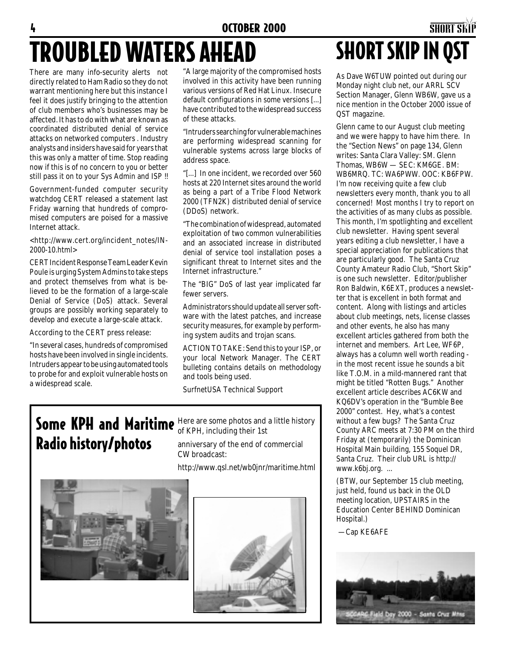# TROUBLED WATERS AHEAD

There are many info-security alerts not directly related to Ham Radio so they do not warrant mentioning here but this instance I feel it does justify bringing to the attention of club members who's businesses may be affected. It has to do with what are known as coordinated distributed denial of service attacks on networked computers . Industry analysts and insiders have said for years that this was only a matter of time. Stop reading now if this is of no concern to you or better still pass it on to your Sys Admin and ISP !!

Government-funded computer security watchdog CERT released a statement last Friday warning that hundreds of compromised computers are poised for a massive Internet attack.

<http://www.cert.org/incident\_notes/IN-2000-10.html>

CERT Incident Response Team Leader Kevin Poule is urging System Admins to take steps and protect themselves from what is believed to be the formation of a large-scale Denial of Service (DoS) attack. Several groups are possibly working separately to develop and execute a large-scale attack.

According to the CERT press release:

"In several cases, hundreds of compromised hosts have been involved in single incidents. Intruders appear to be using automated tools to probe for and exploit vulnerable hosts on a widespread scale.

"A large majority of the compromised hosts involved in this activity have been running various versions of Red Hat Linux. Insecure default configurations in some versions [...] have contributed to the widespread success of these attacks.

"Intruders searching for vulnerable machines are performing widespread scanning for vulnerable systems across large blocks of address space.

"[...] In one incident, we recorded over 560 hosts at 220 Internet sites around the world as being a part of a Tribe Flood Network 2000 (TFN2K) distributed denial of service (DDoS) network.

"The combination of widespread, automated exploitation of two common vulnerabilities and an associated increase in distributed denial of service tool installation poses a significant threat to Internet sites and the Internet infrastructure."

The "BIG" DoS of last year implicated far fewer servers.

Administrators should update all server software with the latest patches, and increase security measures, for example by performing system audits and trojan scans.

ACTION TO TAKE: Send this to your ISP, or your local Network Manager. The CERT bulleting contains details on methodology and tools being used.

SurfnetUSA Technical Support

# Radio history/photos

**Some KPH and Maritime** Here are some photos and a little history of KPH, including their 1st

anniversary of the end of commercial CW broadcast:

http://www.qsl.net/wb0jnr/maritime.html





### 4 **OCTOBER 2000 SHORT SKIP** SHORT SKIP IN QST

As Dave W6TUW pointed out during our Monday night club net, our ARRL SCV Section Manager, Glenn WB6W, gave us a nice mention in the October 2000 issue of QST magazine.

Glenn came to our August club meeting and we were happy to have him there. In the "Section News" on page 134, Glenn writes: Santa Clara Valley: SM. Glenn Thomas, WB6W — SEC: KM6GE. BM: WB6MRQ. TC: WA6PWW. OOC: KB6FPW. I'm now receiving quite a few club newsletters every month, thank you to all concerned! Most months I try to report on the activities of as many clubs as possible. This month, I'm spotlighting and excellent club newsletter. Having spent several years editing a club newsletter, I have a special appreciation for publications that are particularly good. The Santa Cruz County Amateur Radio Club, "Short Skip" is one such newsletter. Editor/publisher Ron Baldwin, K6EXT, produces a newsletter that is excellent in both format and content. Along with listings and articles about club meetings, nets, license classes and other events, he also has many excellent articles gathered from both the internet and members. Art Lee, WF6P, always has a column well worth reading in the most recent issue he sounds a bit like T.O.M. in a mild-mannered rant that might be titled "Rotten Bugs." Another excellent article describes AC6KW and KQ6DV's operation in the "Bumble Bee 2000" contest. Hey, what's a contest without a few bugs? The Santa Cruz County ARC meets at 7:30 PM on the third Friday at (temporarily) the Dominican Hospital Main building, 155 Soquel DR, Santa Cruz. Their club URL is http:// www.k6bj.org. ...

(BTW, our September 15 club meeting, just held, found us back in the OLD meeting location, UPSTAIRS in the Education Center BEHIND Dominican Hospital.)

—Cap KE6AFE

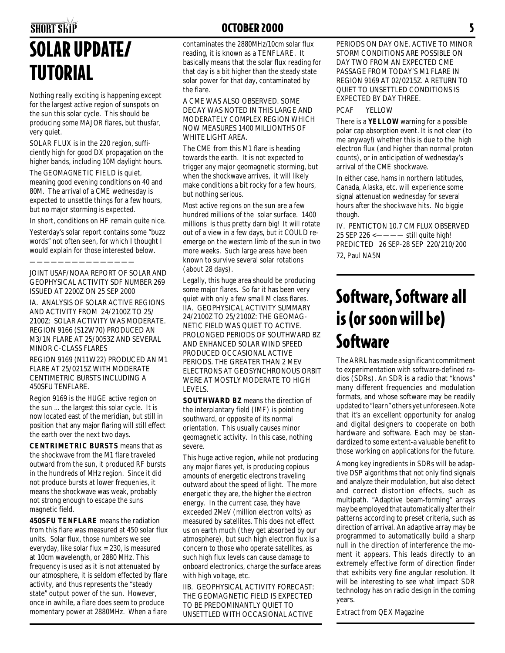## SHORT SKIP **SHORT SKIP OCTOBER 2000** SOLAR UPDATE/ TUTORIAL

Nothing really exciting is happening except for the largest active region of sunspots on the sun this solar cycle. This should be producing some MAJOR flares, but thusfar, very quiet.

SOLAR FLUX is in the 220 region, sufficiently high for good DX propagation on the higher bands, including 10M daylight hours.

The GEOMAGNETIC FIELD is quiet, meaning good evening conditions on 40 and 80M. The arrival of a CME wednesday is expected to unsettle things for a few hours, but no major storming is expected.

In short, conditions on HF remain quite nice.

Yesterday's solar report contains some "buzz words" not often seen, for which I thought I would explain for those interested below.

———————————————

*JOINT USAF/NOAA REPORT OF SOLAR AND GEOPHYSICAL ACTIVITY SDF NUMBER 269 ISSUED AT 2200Z ON 25 SEP 2000*

*IA. ANALYSIS OF SOLAR ACTIVE REGIONS AND ACTIVITY FROM 24/2100Z TO 25/ 2100Z: SOLAR ACTIVITY WAS MODERATE. REGION 9166 (S12W70) PRODUCED AN M3/1N FLARE AT 25/0053Z AND SEVERAL MINOR C-CLASS FLARES*

*REGION 9169 (N11W22) PRODUCED AN M1 FLARE AT 25/0215Z WITH MODERATE CENTIMETRIC BURSTS INCLUDING A 450SFU TENFLARE.*

Region 9169 is the HUGE active region on the sun ... the largest this solar cycle. It is now located east of the meridian, but still in position that any major flaring will still effect the earth over the next two days.

**CENTRIMETRIC BURSTS** means that as the shockwave from the M1 flare traveled outward from the sun, it produced RF bursts in the hundreds of MHz region. Since it did not produce bursts at lower frequenies, it means the shockwave was weak, probably not strong enough to escape the suns magnetic field.

**450SFU TENFLARE** means the radiation from this flare was measured at 450 solar flux units. Solar flux, those numbers we see everyday, like solar flux = 230, is measured at 10cm wavelength, or 2880 MHz. This frequency is used as it is not attenuated by our atmosphere, it is seldom effected by flare activity, and thus represents the "steady state" output power of the sun. However, once in awhile, a flare does seem to produce momentary power at 2880MHz. When a flare

contaminates the 2880MHz/10cm solar flux reading, it is known as a TENFLARE. It basically means that the solar flux reading for that day is a bit higher than the steady state solar power for that day, contaminated by the flare.

#### *A CME WAS ALSO OBSERVED. SOME DECAY WAS NOTED IN THIS LARGE AND MODERATELY COMPLEX REGION WHICH NOW MEASURES 1400 MILLIONTHS OF WHITE LIGHT AREA.*

The CME from this M1 flare is heading towards the earth. It is not expected to trigger any major geomagnetic storming, but when the shockwave arrives, it will likely make conditions a bit rocky for a few hours, but nothing serious.

Most active regions on the sun are a few hundred millions of the solar surface. 1400 millions is thus pretty darn big! It will rotate out of a view in a few days, but it COULD reemerge on the western limb of the sun in two more weeks. Such large areas have been known to survive several solar rotations (about 28 days).

Legally, this huge area should be producing some major flares. So far it has been very quiet with only a few small M class flares. *IIA. GEOPHYSICAL ACTIVITY SUMMARY 24/2100Z TO 25/2100Z: THE GEOMAG-NETIC FIELD WAS QUIET TO ACTIVE. PROLONGED PERIODS OF SOUTHWARD BZ AND ENHANCED SOLAR WIND SPEED PRODUCED OCCASIONAL ACTIVE PERIODS. THE GREATER THAN 2 MEV ELECTRONS AT GEOSYNCHRONOUS ORBIT WERE AT MOSTLY MODERATE TO HIGH LEVELS.*

**SOUTHWARD BZ** means the direction of the interplantary field (IMF) is pointing southward, or opposite of its normal orientation. This usually causes minor geomagnetic activity. In this case, nothing severe.

This huge active region, while not producing any major flares yet, is producing copious amounts of energetic electrons traveling outward about the speed of light. The more energetic they are, the higher the electron energy. In the current case, they have exceeded 2MeV (million electron volts) as measured by satellites. This does not effect us on earth much (they get absorbed by our atmosphere), but such high electron flux is a concern to those who operate satellites, as such high flux levels can cause damage to onboard electronics, charge the surface areas with high voltage, etc.

*IIB. GEOPHYSICAL ACTIVITY FORECAST: THE GEOMAGNETIC FIELD IS EXPECTED TO BE PREDOMINANTLY QUIET TO UNSETTLED WITH OCCASIONAL ACTIVE*

*PERIODS ON DAY ONE. ACTIVE TO MINOR STORM CONDITIONS ARE POSSIBLE ON DAY TWO FROM AN EXPECTED CME PASSAGE FROM TODAY'S M1 FLARE IN REGION 9169 AT 02/0215Z. A RETURN TO QUIET TO UNSETTLED CONDITIONS IS EXPECTED BY DAY THREE.*

*PCAF YELLOW*

There is a **YELLOW** warning for a possible polar cap absorption event. It is not clear (to me anyway!) whether this is due to the high electron flux (and higher than normal proton counts), or in anticipation of wednesday's arrival of the CME shockwave.

In either case, hams in northern latitudes, Canada, Alaska, etc. will experience some signal attenuation wednesday for several hours after the shockwave hits. No biggie though.

*IV. PENTICTON 10.7 CM FLUX OBSERVED 25 SEP 226* <———— still quite high! *PREDICTED 26 SEP-28 SEP 220/210/200* 72, Paul NA5N

## Software, Software all is (or soon will be) **Software**

The ARRL has made a significant commitment to experimentation with software-defined radios (SDRs). An SDR is a radio that "knows" many different frequencies and modulation formats, and whose software may be readily updated to "learn" others yet unforeseen. Note that it's an excellent opportunity for analog and digital designers to cooperate on both hardware and software. Each may be standardized to some extent-a valuable benefit to those working on applications for the future.

Among key ingredients in SDRs will be adaptive DSP algorithms that not only find signals and analyze their modulation, but also detect and correct distortion effects, such as multipath. "Adaptive beam-forming" arrays may be employed that automatically alter their patterns according to preset criteria, such as direction of arrival. An adaptive array may be programmed to automatically build a sharp null in the direction of interference the moment it appears. This leads directly to an extremely effective form of direction finder that exhibits very fine angular resolution. It will be interesting to see what impact SDR technology has on radio design in the coming years.

Extract from QEX Magazine